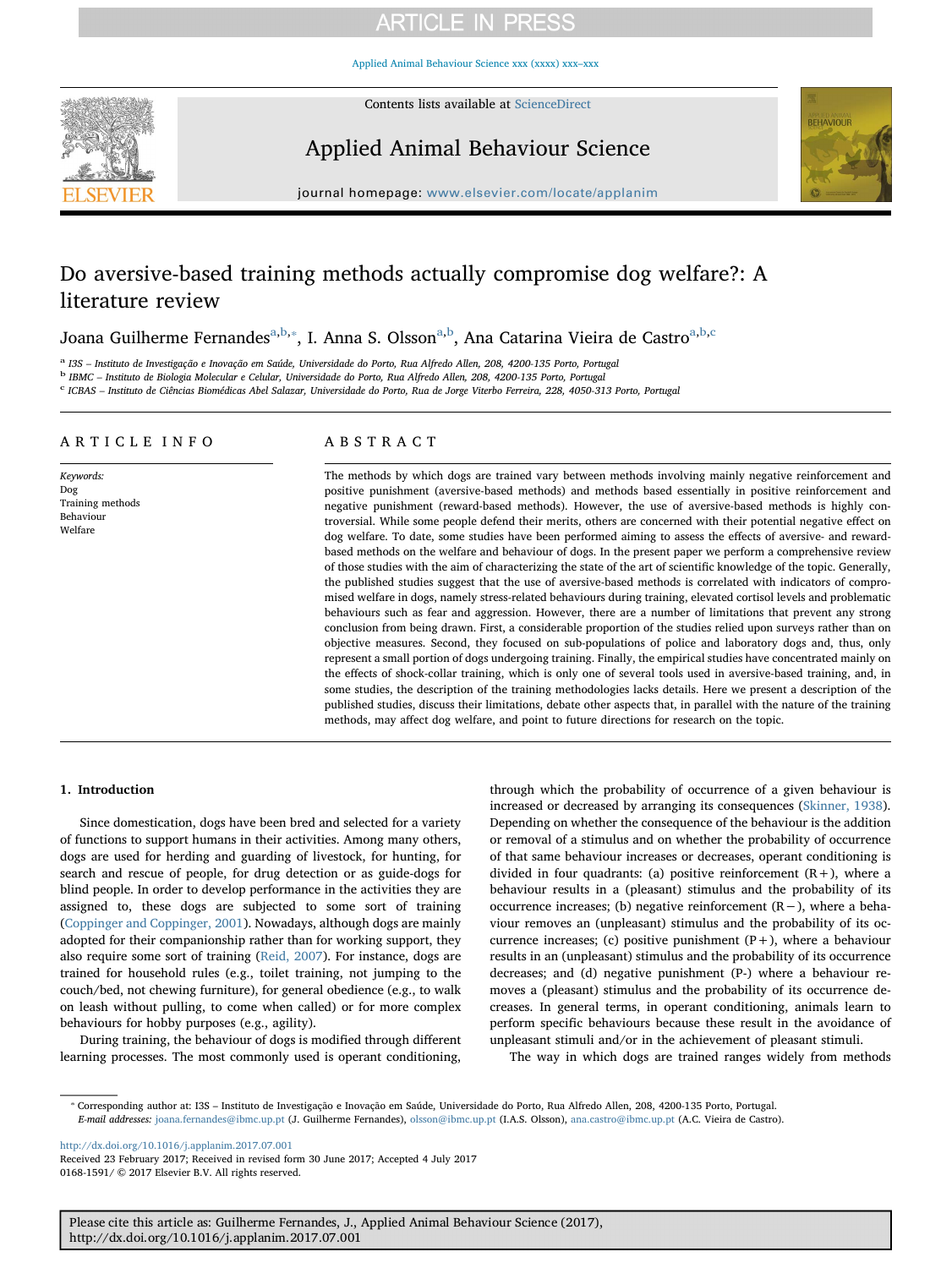Applied Animal Behaviour Science xxx (xxxx) xxx–xxx



Contents lists available at ScienceDirect

Applied Animal Behaviour Science



journal homepage: www.elsevier.com/locate/applanim

# Do aversive-based training methods actually compromise dog welfare?: A literature review

Joana Guilherme Fernandes<sup>a,b,</sup>\*, I. Anna S. Olsson<sup>a,b</sup>, Ana Catarina Vieira de Castro<sup>a,b,c</sup>

a 135 – Instituto de Investigação e Inovação em Saúde, Universidade do Porto, Rua Alfredo Allen, 208, 4200-135 Porto, Portugal b<br/> IBMC – Instituto de Biologia Molecular e Celular, Universidade do Porto, Rua Alfredo Al

#### ARTICLE INFO

Keywords: Dog Training methods Behaviour Welfare

## ABSTRACT

The methods by which dogs are trained vary between methods involving mainly negative reinforcement and positive punishment (aversive-based methods) and methods based essentially in positive reinforcement and negative punishment (reward-based methods). However, the use of aversive-based methods is highly controversial. While some people defend their merits, others are concerned with their potential negative effect on dog welfare. To date, some studies have been performed aiming to assess the effects of aversive- and rewardbased methods on the welfare and behaviour of dogs. In the present paper we perform a comprehensive review of those studies with the aim of characterizing the state of the art of scientific knowledge of the topic. Generally, the published studies suggest that the use of aversive-based methods is correlated with indicators of compromised welfare in dogs, namely stress‐related behaviours during training, elevated cortisol levels and problematic behaviours such as fear and aggression. However, there are a number of limitations that prevent any strong conclusion from being drawn. First, a considerable proportion of the studies relied upon surveys rather than on objective measures. Second, they focused on sub-populations of police and laboratory dogs and, thus, only represent a small portion of dogs undergoing training. Finally, the empirical studies have concentrated mainly on the effects of shock-collar training, which is only one of several tools used in aversive-based training, and, in some studies, the description of the training methodologies lacks details. Here we present a description of the published studies, discuss their limitations, debate other aspects that, in parallel with the nature of the training methods, may affect dog welfare, and point to future directions for research on the topic.

### 1. Introduction

Since domestication, dogs have been bred and selected for a variety of functions to support humans in their activities. Among many others, dogs are used for herding and guarding of livestock, for hunting, for search and rescue of people, for drug detection or as guide-dogs for blind people. In order to develop performance in the activities they are assigned to, these dogs are subjected to some sort of training (Coppinger and Coppinger, 2001). Nowadays, although dogs are mainly adopted for their companionship rather than for working support, they also require some sort of training (Reid, 2007). For instance, dogs are trained for household rules (e.g., toilet training, not jumping to the couch/bed, not chewing furniture), for general obedience (e.g., to walk on leash without pulling, to come when called) or for more complex behaviours for hobby purposes (e.g., agility).

During training, the behaviour of dogs is modified through different learning processes. The most commonly used is operant conditioning,

through which the probability of occurrence of a given behaviour is increased or decreased by arranging its consequences (Skinner, 1938). Depending on whether the consequence of the behaviour is the addition or removal of a stimulus and on whether the probability of occurrence of that same behaviour increases or decreases, operant conditioning is divided in four quadrants: (a) positive reinforcement  $(R+)$ , where a behaviour results in a (pleasant) stimulus and the probability of its occurrence increases; (b) negative reinforcement (R−), where a behaviour removes an (unpleasant) stimulus and the probability of its occurrence increases; (c) positive punishment  $(P+)$ , where a behaviour results in an (unpleasant) stimulus and the probability of its occurrence decreases; and (d) negative punishment (P-) where a behaviour removes a (pleasant) stimulus and the probability of its occurrence decreases. In general terms, in operant conditioning, animals learn to perform specific behaviours because these result in the avoidance of unpleasant stimuli and/or in the achievement of pleasant stimuli.

The way in which dogs are trained ranges widely from methods

⁎ Corresponding author at: I3S – Instituto de Investigação e Inovação em Saúde, Universidade do Porto, Rua Alfredo Allen, 208, 4200-135 Porto, Portugal. E-mail addresses: joana.fernandes@ibmc.up.pt (J. Guilherme Fernandes), olsson@ibmc.up.pt (I.A.S. Olsson), ana.castro@ibmc.up.pt (A.C. Vieira de Castro).

http://dx.doi.org/10.1016/j.applanim.2017.07.001

Received 23 February 2017; Received in revised form 30 June 2017; Accepted 4 July 2017 0168-1591/ © 2017 Elsevier B.V. All rights reserved.

Please cite this article as: Guilherme Fernandes, J., Applied Animal Behaviour Science (2017), http://dx.doi.org/10.1016/j.applanim.2017.07.001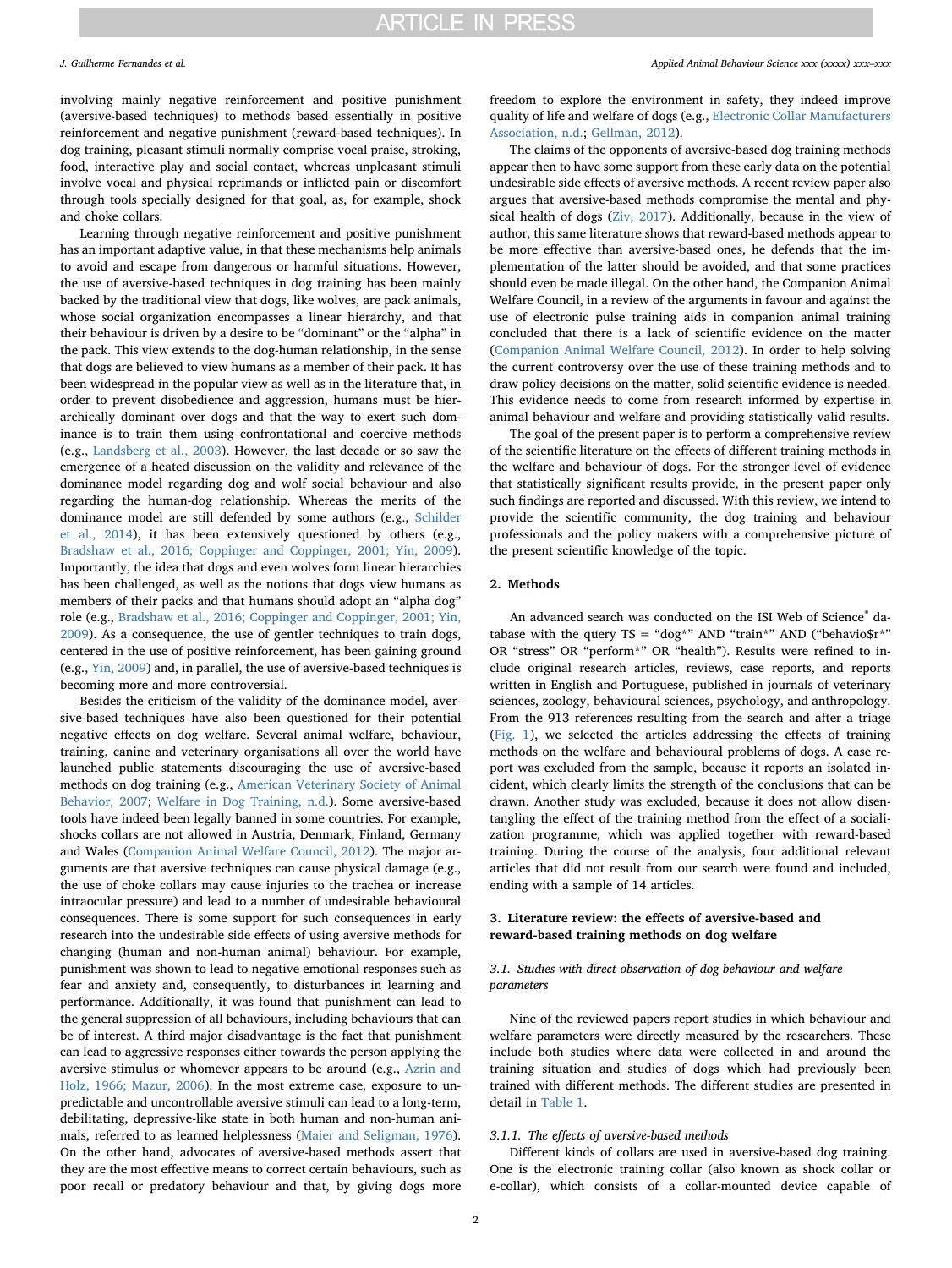involving mainly negative reinforcement and positive punishment (aversive-based techniques) to methods based essentially in positive reinforcement and negative punishment (reward-based techniques). In dog training, pleasant stimuli normally comprise vocal praise, stroking, food, interactive play and social contact, whereas unpleasant stimuli involve vocal and physical reprimands or inflicted pain or discomfort through tools specially designed for that goal, as, for example, shock and choke collars.

Learning through negative reinforcement and positive punishment has an important adaptive value, in that these mechanisms help animals to avoid and escape from dangerous or harmful situations. However, the use of aversive-based techniques in dog training has been mainly backed by the traditional view that dogs, like wolves, are pack animals, whose social organization encompasses a linear hierarchy, and that their behaviour is driven by a desire to be "dominant" or the "alpha" in the pack. This view extends to the dog-human relationship, in the sense that dogs are believed to view humans as a member of their pack. It has been widespread in the popular view as well as in the literature that, in order to prevent disobedience and aggression, humans must be hierarchically dominant over dogs and that the way to exert such dominance is to train them using confrontational and coercive methods (e.g., Landsberg et al., 2003). However, the last decade or so saw the emergence of a heated discussion on the validity and relevance of the dominance model regarding dog and wolf social behaviour and also regarding the human-dog relationship. Whereas the merits of the dominance model are still defended by some authors (e.g., Schilder et al., 2014), it has been extensively questioned by others (e.g., Bradshaw et al., 2016; Coppinger and Coppinger, 2001; Yin, 2009). Importantly, the idea that dogs and even wolves form linear hierarchies has been challenged, as well as the notions that dogs view humans as members of their packs and that humans should adopt an "alpha dog" role (e.g., Bradshaw et al., 2016; Coppinger and Coppinger, 2001; Yin, 2009). As a consequence, the use of gentler techniques to train dogs, centered in the use of positive reinforcement, has been gaining ground (e.g., Yin, 2009) and, in parallel, the use of aversive‐based techniques is becoming more and more controversial.

Besides the criticism of the validity of the dominance model, aversive‐based techniques have also been questioned for their potential negative effects on dog welfare. Several animal welfare, behaviour, training, canine and veterinary organisations all over the world have launched public statements discouraging the use of aversive-based methods on dog training (e.g., American Veterinary Society of Animal Behavior, 2007; Welfare in Dog Training, n.d.). Some aversive-based tools have indeed been legally banned in some countries. For example, shocks collars are not allowed in Austria, Denmark, Finland, Germany and Wales (Companion Animal Welfare Council, 2012). The major arguments are that aversive techniques can cause physical damage (e.g., the use of choke collars may cause injuries to the trachea or increase intraocular pressure) and lead to a number of undesirable behavioural consequences. There is some support for such consequences in early research into the undesirable side effects of using aversive methods for changing (human and non-human animal) behaviour. For example, punishment was shown to lead to negative emotional responses such as fear and anxiety and, consequently, to disturbances in learning and performance. Additionally, it was found that punishment can lead to the general suppression of all behaviours, including behaviours that can be of interest. A third major disadvantage is the fact that punishment can lead to aggressive responses either towards the person applying the aversive stimulus or whomever appears to be around (e.g., Azrin and Holz, 1966; Mazur, 2006). In the most extreme case, exposure to unpredictable and uncontrollable aversive stimuli can lead to a long-term, debilitating, depressive-like state in both human and non-human animals, referred to as learned helplessness (Maier and Seligman, 1976). On the other hand, advocates of aversive‐based methods assert that they are the most effective means to correct certain behaviours, such as poor recall or predatory behaviour and that, by giving dogs more

#### J. Guilherme Fernandes et al. *Applied Animal Behaviour Science xxx (xxxx) xxx–xxx*

freedom to explore the environment in safety, they indeed improve quality of life and welfare of dogs (e.g., Electronic Collar Manufacturers Association, n.d.; Gellman, 2012).

The claims of the opponents of aversive-based dog training methods appear then to have some support from these early data on the potential undesirable side effects of aversive methods. A recent review paper also argues that aversive-based methods compromise the mental and physical health of dogs (Ziv, 2017). Additionally, because in the view of author, this same literature shows that reward-based methods appear to be more effective than aversive‐based ones, he defends that the implementation of the latter should be avoided, and that some practices should even be made illegal. On the other hand, the Companion Animal Welfare Council, in a review of the arguments in favour and against the use of electronic pulse training aids in companion animal training concluded that there is a lack of scientific evidence on the matter (Companion Animal Welfare Council, 2012). In order to help solving the current controversy over the use of these training methods and to draw policy decisions on the matter, solid scientific evidence is needed. This evidence needs to come from research informed by expertise in animal behaviour and welfare and providing statistically valid results.

The goal of the present paper is to perform a comprehensive review of the scientific literature on the effects of different training methods in the welfare and behaviour of dogs. For the stronger level of evidence that statistically significant results provide, in the present paper only such findings are reported and discussed. With this review, we intend to provide the scientific community, the dog training and behaviour professionals and the policy makers with a comprehensive picture of the present scientific knowledge of the topic.

### 2. Methods

An advanced search was conducted on the ISI Web of Science<sup>®</sup> database with the query  $TS = "dog^*" AND "train^*" AND ("behavior^*")$ OR "stress" OR "perform\*" OR "health"). Results were refined to include original research articles, reviews, case reports, and reports written in English and Portuguese, published in journals of veterinary sciences, zoology, behavioural sciences, psychology, and anthropology. From the 913 references resulting from the search and after a triage (Fig. 1), we selected the articles addressing the effects of training methods on the welfare and behavioural problems of dogs. A case report was excluded from the sample, because it reports an isolated incident, which clearly limits the strength of the conclusions that can be drawn. Another study was excluded, because it does not allow disentangling the effect of the training method from the effect of a socialization programme, which was applied together with reward-based training. During the course of the analysis, four additional relevant articles that did not result from our search were found and included, ending with a sample of 14 articles.

## 3. Literature review: the effects of aversive-based and reward‐based training methods on dog welfare

## 3.1. Studies with direct observation of dog behaviour and welfare parameters

Nine of the reviewed papers report studies in which behaviour and welfare parameters were directly measured by the researchers. These include both studies where data were collected in and around the training situation and studies of dogs which had previously been trained with different methods. The different studies are presented in detail in Table 1.

#### 3.1.1. The effects of aversive-based methods

Different kinds of collars are used in aversive-based dog training. One is the electronic training collar (also known as shock collar or e‐collar), which consists of a collar-mounted device capable of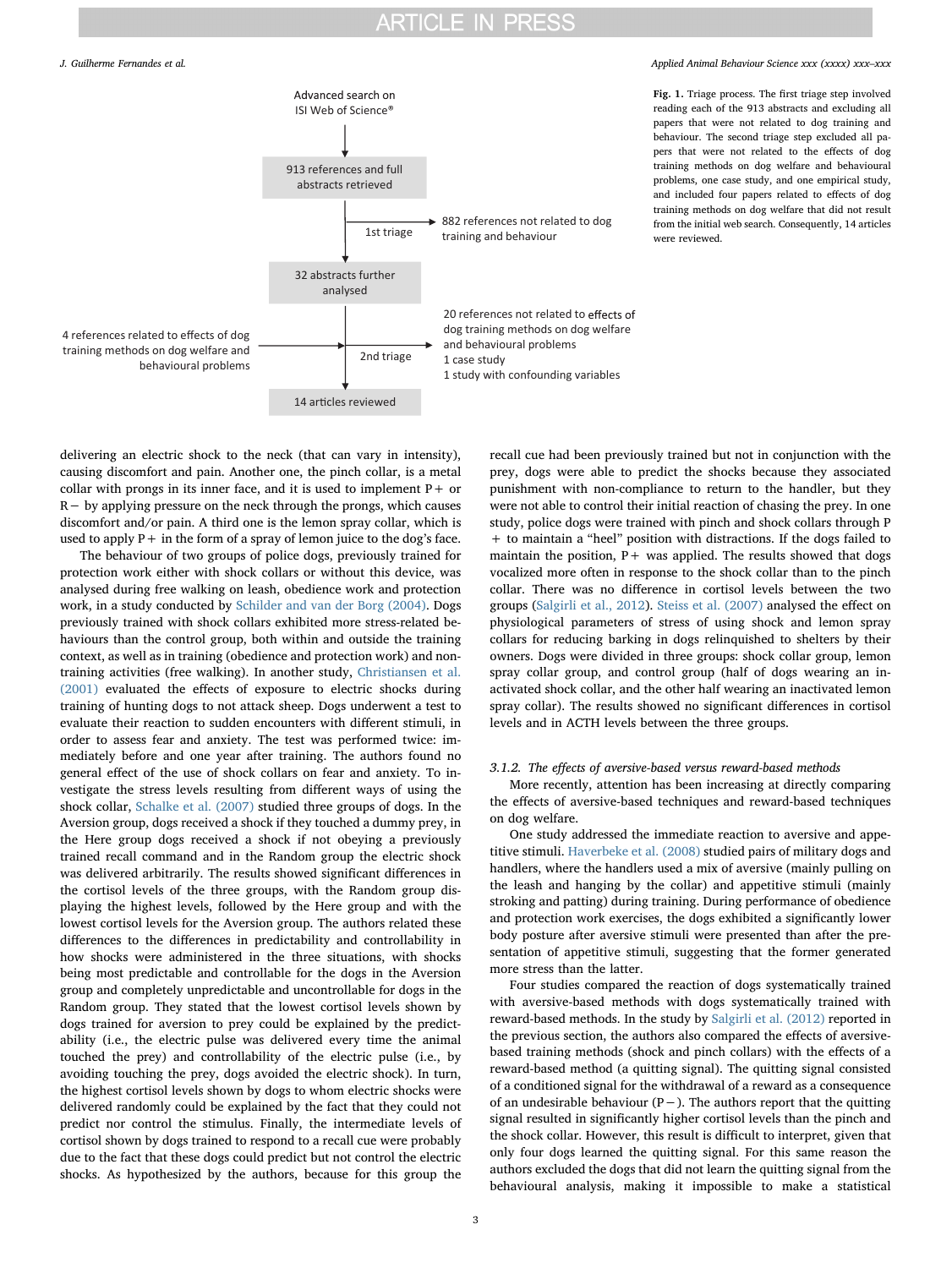



### J. Guilherme Fernandes et al. *Applied Animal Behaviour Science xxx (xxxx) xxx–xxx*

Fig. 1. Triage process. The first triage step involved reading each of the 913 abstracts and excluding all papers that were not related to dog training and behaviour. The second triage step excluded all papers that were not related to the effects of dog training methods on dog welfare and behavioural problems, one case study, and one empirical study, and included four papers related to effects of dog training methods on dog welfare that did not result from the initial web search. Consequently, 14 articles were reviewed.

delivering an electric shock to the neck (that can vary in intensity), causing discomfort and pain. Another one, the pinch collar, is a metal collar with prongs in its inner face, and it is used to implement  $P+$  or R− by applying pressure on the neck through the prongs, which causes discomfort and/or pain. A third one is the lemon spray collar, which is used to apply  $P+$  in the form of a spray of lemon juice to the dog's face.

The behaviour of two groups of police dogs, previously trained for protection work either with shock collars or without this device, was analysed during free walking on leash, obedience work and protection work, in a study conducted by Schilder and van der Borg (2004). Dogs previously trained with shock collars exhibited more stress-related behaviours than the control group, both within and outside the training context, as well as in training (obedience and protection work) and nontraining activities (free walking). In another study, Christiansen et al. (2001) evaluated the effects of exposure to electric shocks during training of hunting dogs to not attack sheep. Dogs underwent a test to evaluate their reaction to sudden encounters with different stimuli, in order to assess fear and anxiety. The test was performed twice: immediately before and one year after training. The authors found no general effect of the use of shock collars on fear and anxiety. To investigate the stress levels resulting from different ways of using the shock collar, Schalke et al. (2007) studied three groups of dogs. In the Aversion group, dogs received a shock if they touched a dummy prey, in the Here group dogs received a shock if not obeying a previously trained recall command and in the Random group the electric shock was delivered arbitrarily. The results showed significant differences in the cortisol levels of the three groups, with the Random group displaying the highest levels, followed by the Here group and with the lowest cortisol levels for the Aversion group. The authors related these differences to the differences in predictability and controllability in how shocks were administered in the three situations, with shocks being most predictable and controllable for the dogs in the Aversion group and completely unpredictable and uncontrollable for dogs in the Random group. They stated that the lowest cortisol levels shown by dogs trained for aversion to prey could be explained by the predictability (i.e., the electric pulse was delivered every time the animal touched the prey) and controllability of the electric pulse (i.e., by avoiding touching the prey, dogs avoided the electric shock). In turn, the highest cortisol levels shown by dogs to whom electric shocks were delivered randomly could be explained by the fact that they could not predict nor control the stimulus. Finally, the intermediate levels of cortisol shown by dogs trained to respond to a recall cue were probably due to the fact that these dogs could predict but not control the electric shocks. As hypothesized by the authors, because for this group the

recall cue had been previously trained but not in conjunction with the prey, dogs were able to predict the shocks because they associated punishment with non-compliance to return to the handler, but they were not able to control their initial reaction of chasing the prey. In one study, police dogs were trained with pinch and shock collars through P + to maintain a "heel" position with distractions. If the dogs failed to maintain the position,  $P+$  was applied. The results showed that dogs vocalized more often in response to the shock collar than to the pinch collar. There was no difference in cortisol levels between the two groups (Salgirli et al., 2012). Steiss et al. (2007) analysed the effect on physiological parameters of stress of using shock and lemon spray collars for reducing barking in dogs relinquished to shelters by their owners. Dogs were divided in three groups: shock collar group, lemon spray collar group, and control group (half of dogs wearing an inactivated shock collar, and the other half wearing an inactivated lemon spray collar). The results showed no significant differences in cortisol levels and in ACTH levels between the three groups.

#### 3.1.2. The effects of aversive-based versus reward-based methods

More recently, attention has been increasing at directly comparing the effects of aversive‐based techniques and reward-based techniques on dog welfare.

One study addressed the immediate reaction to aversive and appetitive stimuli. Haverbeke et al. (2008) studied pairs of military dogs and handlers, where the handlers used a mix of aversive (mainly pulling on the leash and hanging by the collar) and appetitive stimuli (mainly stroking and patting) during training. During performance of obedience and protection work exercises, the dogs exhibited a significantly lower body posture after aversive stimuli were presented than after the presentation of appetitive stimuli, suggesting that the former generated more stress than the latter.

Four studies compared the reaction of dogs systematically trained with aversive-based methods with dogs systematically trained with reward-based methods. In the study by Salgirli et al. (2012) reported in the previous section, the authors also compared the effects of aversivebased training methods (shock and pinch collars) with the effects of a reward-based method (a quitting signal). The quitting signal consisted of a conditioned signal for the withdrawal of a reward as a consequence of an undesirable behaviour (P−). The authors report that the quitting signal resulted in significantly higher cortisol levels than the pinch and the shock collar. However, this result is difficult to interpret, given that only four dogs learned the quitting signal. For this same reason the authors excluded the dogs that did not learn the quitting signal from the behavioural analysis, making it impossible to make a statistical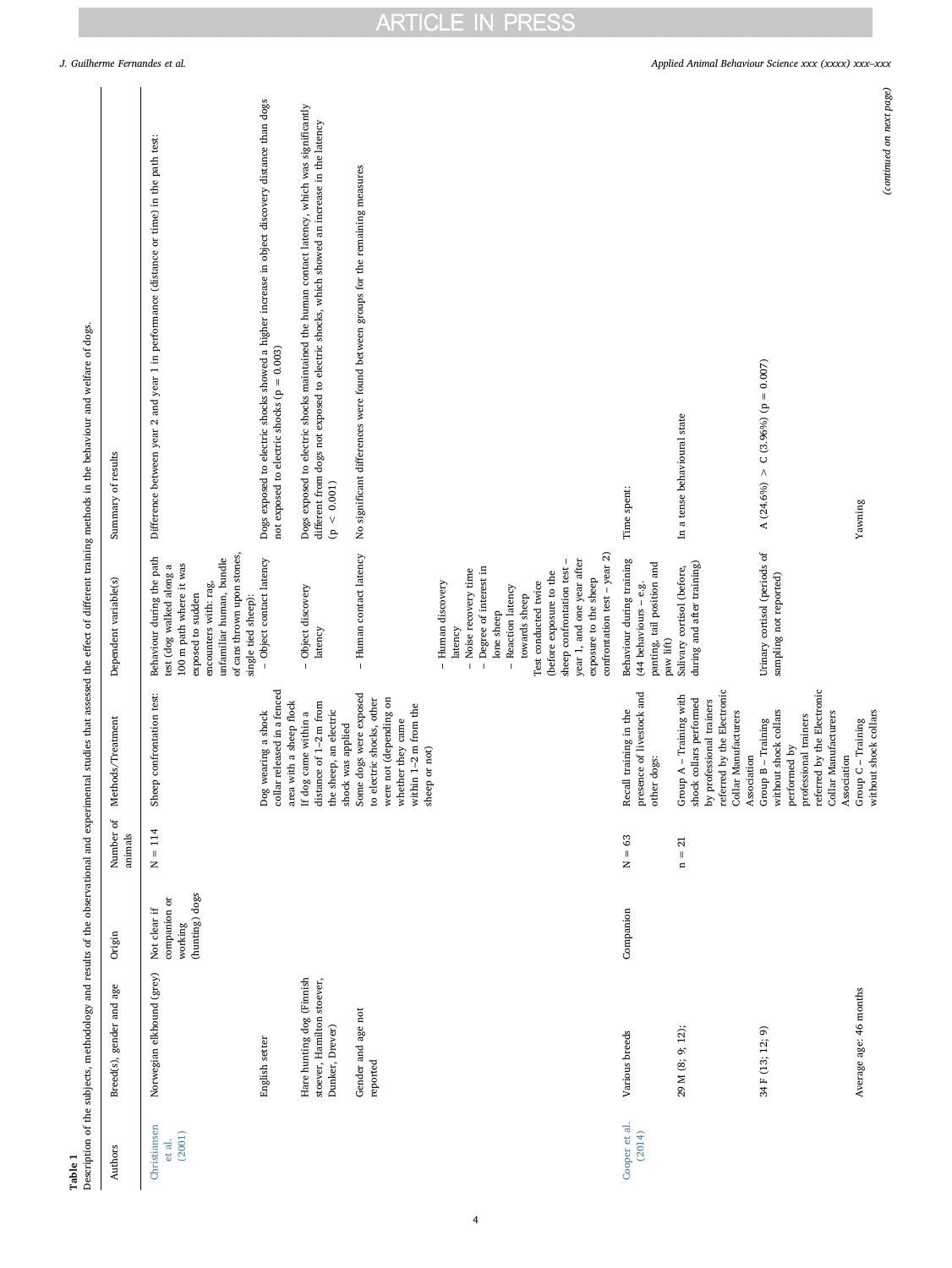| Table 1                          | Description of the subjects, methodology and results of the observational and experimental |                                                           |                      |                                                                                                                                                             |                                                                                                                                                                                                                                                                                                               | studies that assessed the effect of different training methods in the behaviour and welfare of dogs.                                                                                                        |
|----------------------------------|--------------------------------------------------------------------------------------------|-----------------------------------------------------------|----------------------|-------------------------------------------------------------------------------------------------------------------------------------------------------------|---------------------------------------------------------------------------------------------------------------------------------------------------------------------------------------------------------------------------------------------------------------------------------------------------------------|-------------------------------------------------------------------------------------------------------------------------------------------------------------------------------------------------------------|
| Authors                          | Breed(s), gender and age                                                                   | Origin                                                    | Number of<br>animals | Methods/Treatment                                                                                                                                           | Dependent variable(s)                                                                                                                                                                                                                                                                                         | Summary of results                                                                                                                                                                                          |
| Christiansen<br>(2001)<br>et al. | Norwegian elkhound (grey)                                                                  | (hunting) dogs<br>companion or<br>Not clear if<br>working | $N = 114$            | confrontation test:<br>Sheep                                                                                                                                | of cans thrown upon stones,<br>Behaviour during the path<br>unfamiliar human, bundle<br>100 m path where it was<br>test (dog walked along a<br>encounters with: rag,<br>exposed to sudden<br>single tied sheep):                                                                                              | Difference between year 2 and year 1 in performance (distance or time) in the path test:                                                                                                                    |
|                                  | English setter                                                                             |                                                           |                      | collar released in a fenced<br>area with a sheep flock<br>Dog wearing a shock                                                                               | - Object contact latency                                                                                                                                                                                                                                                                                      | Dogs exposed to electric shocks showed a higher increase in object discovery distance than dogs<br>not exposed to electric shocks ( $p = 0.003$ )                                                           |
|                                  | Hare hunting dog (Finnish<br>stoever, Hamilton stoever,<br>Dunker, Drever)                 |                                                           |                      | distance of 1-2 m from<br>the sheep, an electric<br>If dog came within a<br>shock was applied                                                               | Object discovery<br>latency                                                                                                                                                                                                                                                                                   | Dogs exposed to electric shocks maintained the human contact latency, which was significantly<br>different from dogs not exposed to electric shocks, which showed an increase in the latency<br>(p < 0.001) |
|                                  | Gender and age not<br>reported                                                             |                                                           |                      | Some dogs were exposed<br>were not (depending on<br>to electric shocks, other<br>within 1-2 m from the<br>whether they came<br>sheep or not)                | - Human contact latency                                                                                                                                                                                                                                                                                       | No significant differences were found between groups for the remaining measures                                                                                                                             |
|                                  |                                                                                            |                                                           |                      |                                                                                                                                                             | confrontation test $-$ year 2)<br>year 1, and one year after<br>- Degree of interest in<br>sheep confrontation test<br>- Noise recovery time<br>(before exposure to the<br>exposure to the sheep<br>Test conducted twice<br>- Human discovery<br>- Reaction latency<br>towards sheep<br>lone sheep<br>latency |                                                                                                                                                                                                             |
| Cooper et al.<br>(2014)          | Various breeds                                                                             | Companion                                                 | $N = 63$             | presence of livestock and<br>training in the<br>other dogs:<br>Recall                                                                                       | Behaviour during training<br>panting, tail position and<br>(44 behaviours - e.g.<br>paw lift)                                                                                                                                                                                                                 | Time spent:                                                                                                                                                                                                 |
|                                  | 29 M (8; 9; 12);                                                                           |                                                           | ដ<br>$n =$           | referred by the Electronic<br>$A - Training with$<br>collars performed<br>by professional trainers<br>Collar Manufacturers<br>Association<br>Group<br>shock | during and after training)<br>Salivary cortisol (before,                                                                                                                                                                                                                                                      | In a tense behavioural state                                                                                                                                                                                |
|                                  | 34F (13; 12; 9)                                                                            |                                                           |                      | referred by the Electronic<br>without shock collars<br>Collar Manufacturers<br>professional trainers<br>Group B - Training<br>performed by<br>Association   | Urinary cortisol (periods of<br>sampling not reported)                                                                                                                                                                                                                                                        | $C(3.96%) (p = 0.007)$<br>$\wedge$<br>A (24.6%)                                                                                                                                                             |
|                                  | Average age: 46 months                                                                     |                                                           |                      | without shock collars<br>Group C - Training                                                                                                                 |                                                                                                                                                                                                                                                                                                               | (continued on next page)<br>Yawning                                                                                                                                                                         |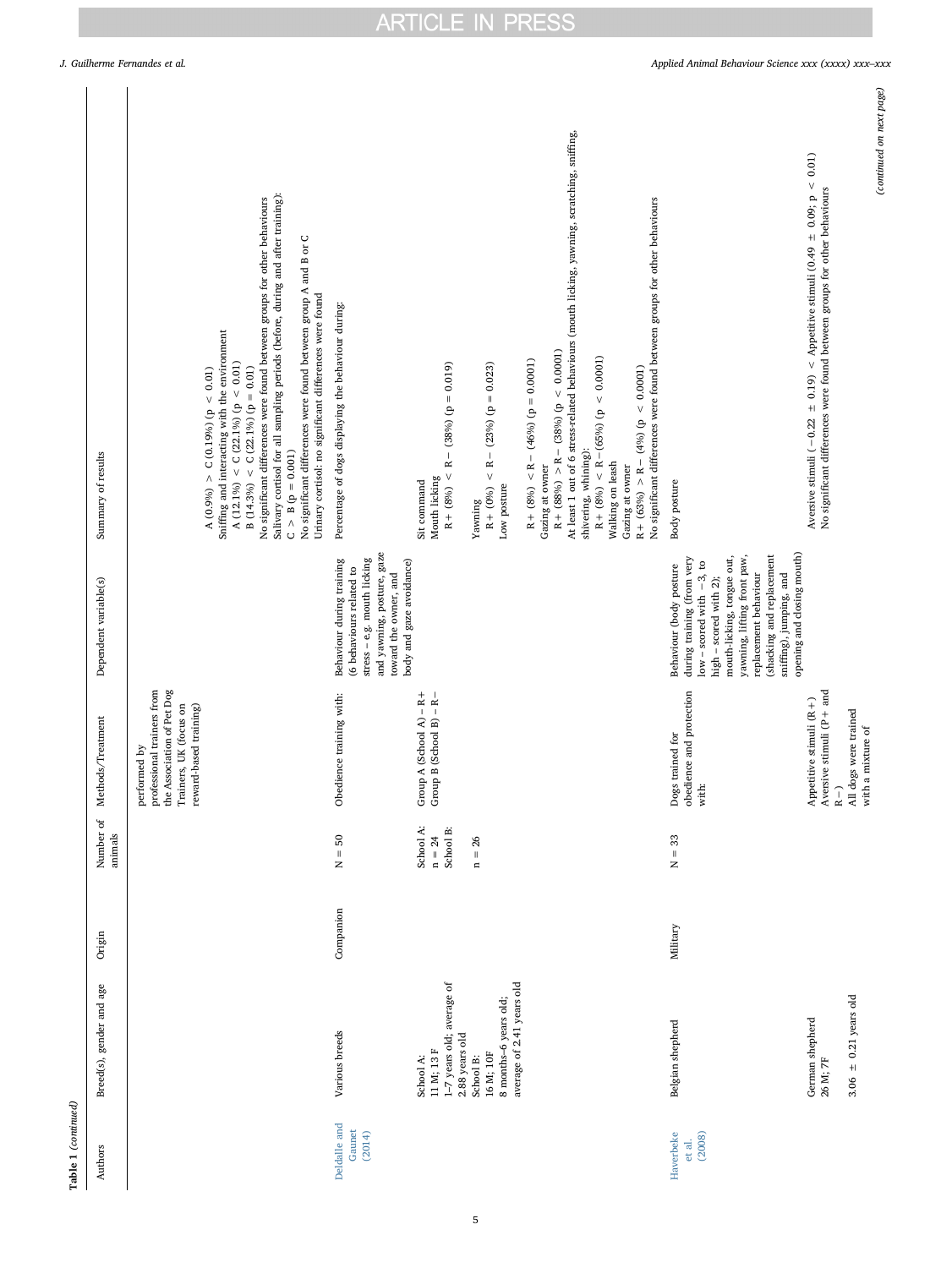|                          |                                                                                                                                                                                                                                                                                                                                                                                                                                                                                  |                                                                                                                                                                         |                                                                        |                                                                             |                                                                                                                                                                                                                                                                                                                                                                                                                                |                                                                                                                                                                                                                                                                                              |                                                                                                                                                                   | (continued on next page)                                                                                         |
|--------------------------|----------------------------------------------------------------------------------------------------------------------------------------------------------------------------------------------------------------------------------------------------------------------------------------------------------------------------------------------------------------------------------------------------------------------------------------------------------------------------------|-------------------------------------------------------------------------------------------------------------------------------------------------------------------------|------------------------------------------------------------------------|-----------------------------------------------------------------------------|--------------------------------------------------------------------------------------------------------------------------------------------------------------------------------------------------------------------------------------------------------------------------------------------------------------------------------------------------------------------------------------------------------------------------------|----------------------------------------------------------------------------------------------------------------------------------------------------------------------------------------------------------------------------------------------------------------------------------------------|-------------------------------------------------------------------------------------------------------------------------------------------------------------------|------------------------------------------------------------------------------------------------------------------|
| Summary of results       | Salivary cortisol for all sampling periods (before, during and after training):<br>No significant differences were found between groups for other behaviours<br>No significant differences were found between group A and B or C<br>Urinary cortisol: no significant differences were found<br>Sniffing and interacting with the environment<br>A (12.1%) < C (22.1%) ( $p$ < 0.01)<br>B (14.3%) < C (22.1%) (p = 0.01)<br>A (0.9%) > C (0.19%) (p < 0.01)<br>$C > B(p = 0.001)$ | Percentage of dogs displaying the behaviour during:                                                                                                                     | $R + (8\%) \le R - (38\%) (p = 0.019)$<br>Mouth licking<br>Sit command | $\le$ R – (23%) (p = 0.023)<br>Low posture<br>$R + (0\%)$<br>Yawning        | At least 1 out of 6 stress-related behaviours (mouth licking, yawning, scratching, sniffing,<br>No significant differences were found between groups for other behaviours<br>R + (88%) > R – (38%) (p < 0.0001)<br>$R + (8\%) \le R - (65\%) (p \le 0.0001)$<br>$R + (8\%) \le R - (46\%) (p = 0.0001)$<br>R + (63%) > R – (4%) (p < 0.0001)<br>shivering, whining):<br>Walking on leash<br>Gazing at owner<br>Gazing at owner | Body posture                                                                                                                                                                                                                                                                                 | Aversive stimuli (-0.22 $\pm$ 0.19) < Appetitive stimuli (0.49 $\pm$ 0.09; p < 0.01)<br>No significant differences were found between groups for other behaviours |                                                                                                                  |
| Dependent variable(s)    |                                                                                                                                                                                                                                                                                                                                                                                                                                                                                  | and yawning, posture, gaze<br>stress - e.g. mouth licking<br>Behaviour during training<br>body and gaze avoidance)<br>(6 behaviours related to<br>toward the owner, and |                                                                        |                                                                             |                                                                                                                                                                                                                                                                                                                                                                                                                                | opening and closing mouth)<br>(shacking and replacement<br>yawning, lifting front paw,<br>during training (from very<br>mouth-licking, tongue out,<br>$low$ - scored with $-3$ , to<br>Behaviour (body posture<br>replacement behaviour<br>sniffing), jumping, and<br>high - scored with 2); |                                                                                                                                                                   |                                                                                                                  |
| Methods/Treatment        | performed by<br>professional trainers from<br>the Association of Pet Dog<br>Trainers, UK (focus on<br>reward-based training)                                                                                                                                                                                                                                                                                                                                                     | Obedience training with:                                                                                                                                                | Group A (School A) – $R +$<br>Group B (School B) – $R -$               |                                                                             |                                                                                                                                                                                                                                                                                                                                                                                                                                | obe<br>dience and protection with: $\,$<br>Dogs trained for                                                                                                                                                                                                                                  |                                                                                                                                                                   | Appetitive stimuli $(R +)$<br>Aversive stimuli $(P + and$<br>$R -)$<br>All dogs were trained<br>All a mixture of |
| Number of<br>animals     |                                                                                                                                                                                                                                                                                                                                                                                                                                                                                  | 50<br>$\, \parallel$<br>$\mathsf{z}$                                                                                                                                    | School A:<br>School B:<br>$n = 24$                                     | $n = 26$                                                                    |                                                                                                                                                                                                                                                                                                                                                                                                                                | $33\,$<br>$\parallel$<br>$\mathbf{z}$                                                                                                                                                                                                                                                        |                                                                                                                                                                   |                                                                                                                  |
| Origin                   |                                                                                                                                                                                                                                                                                                                                                                                                                                                                                  | Companion                                                                                                                                                               |                                                                        |                                                                             |                                                                                                                                                                                                                                                                                                                                                                                                                                | Military                                                                                                                                                                                                                                                                                     |                                                                                                                                                                   |                                                                                                                  |
| Breed(s), gender and age |                                                                                                                                                                                                                                                                                                                                                                                                                                                                                  | Various breeds                                                                                                                                                          | 1-7 years old; average of<br>2.88 years old<br>11 M; 13 F<br>School A: | average of 2.41 years old<br>8 months-6 years old;<br>16M; 10F<br>School B: |                                                                                                                                                                                                                                                                                                                                                                                                                                | Belgian shepherd                                                                                                                                                                                                                                                                             | German shepherd<br>26 M; 7F                                                                                                                                       | $3.06 \pm 0.21$ years old                                                                                        |
| Authors                  |                                                                                                                                                                                                                                                                                                                                                                                                                                                                                  | Deldalle and<br>Gaunet<br>(2014)                                                                                                                                        |                                                                        |                                                                             |                                                                                                                                                                                                                                                                                                                                                                                                                                | Haverbeke<br>(2008)<br>et al.                                                                                                                                                                                                                                                                |                                                                                                                                                                   |                                                                                                                  |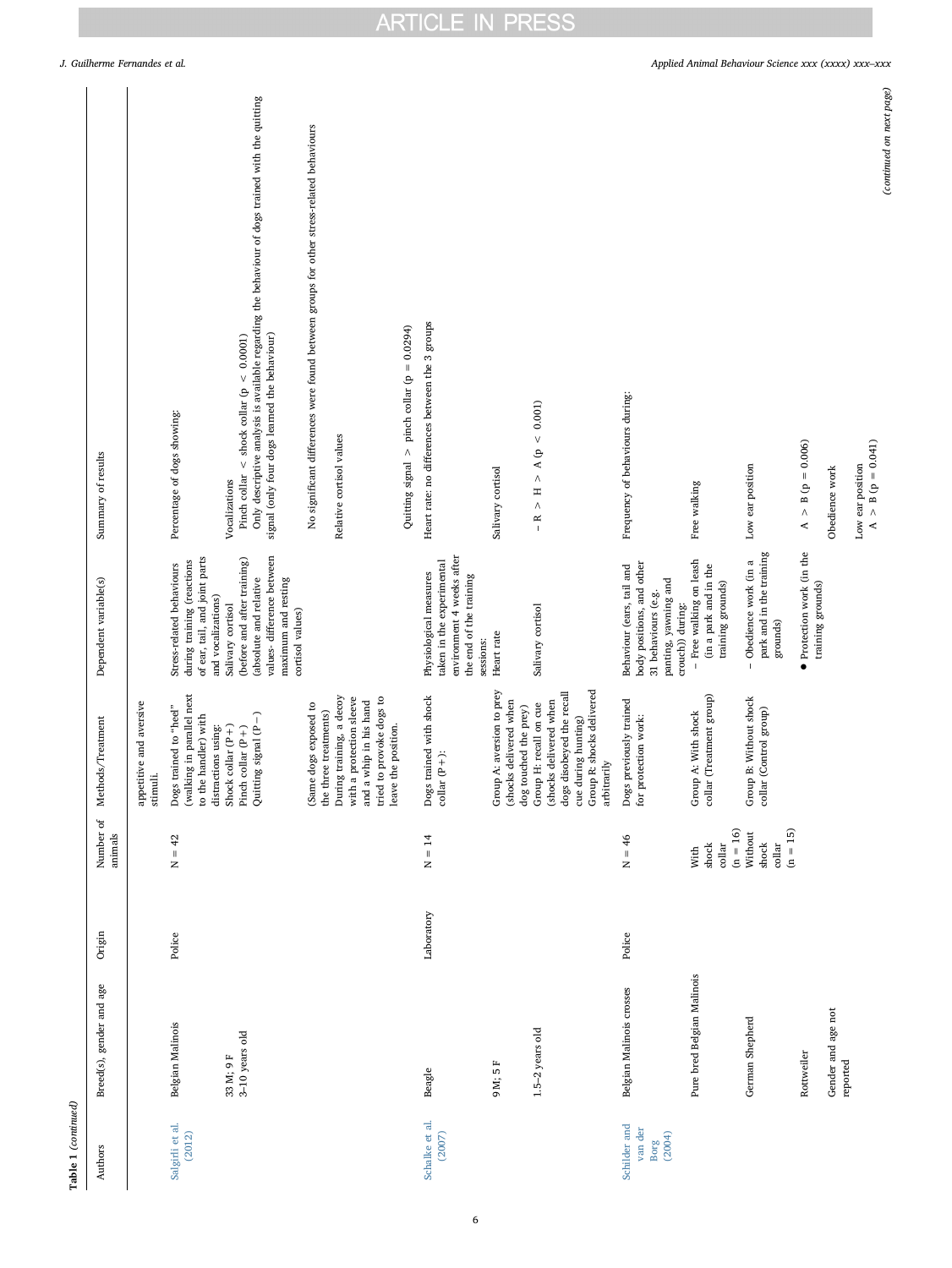| J<br>ŕ |  |
|--------|--|

| Authors                   | gender and age<br>Breed(s) | Origin | animals  | Number of Methods/Treatment                                                                        | Dependent variable(s)                                                                                          | Summary of results                                 |
|---------------------------|----------------------------|--------|----------|----------------------------------------------------------------------------------------------------|----------------------------------------------------------------------------------------------------------------|----------------------------------------------------|
|                           |                            |        |          | appetitive and aversive<br>stimuli.                                                                |                                                                                                                |                                                    |
| Salgirli et al.<br>(2012) | Belgian Malinois           | Police | $N = 42$ | (walking in parallel next<br>Dogs trained to "heel"<br>to the handler) with<br>distractions using: | of ear, tail, and joint parts<br>during training (reactions<br>Stress-related behaviours<br>and vocalizations) | Percentage of dogs showing:                        |
|                           | 33 M; 9 F                  |        |          | Shock collar (P+)                                                                                  | Salivary cortisol                                                                                              | Vocalizations                                      |
|                           | 3-10 years old             |        |          | Pinch collar $(P+)$                                                                                | (before and after training)                                                                                    | Pinch collar $\lt$ shock collar ( $p \lt 0.0001$ ) |
|                           |                            |        |          | Quitting signal $(P-)$                                                                             | (absolute and relative                                                                                         | Only descriptive analysis is available regar       |
|                           |                            |        |          |                                                                                                    | values-difference between                                                                                      | signal (only four dogs learned the behaviour)      |
|                           |                            |        |          |                                                                                                    | maximum and resting                                                                                            |                                                    |
|                           |                            |        |          |                                                                                                    | cortisol values)                                                                                               |                                                    |
|                           |                            |        |          | (Same dogs exposed to                                                                              |                                                                                                                | No significant differences were found betw         |
|                           |                            |        |          | the three treatments)                                                                              |                                                                                                                |                                                    |
|                           |                            |        |          | During training, a decoy                                                                           |                                                                                                                | Relative cortisol values                           |
|                           |                            |        |          | with a protection sleeve                                                                           |                                                                                                                |                                                    |

Only descriptive analysis is available regarding the behaviour of dogs trained with the quitting

Pinch collar  $\lt$  shock collar ( $p \lt 0.0001$ )<br>Only descriptive analysis is available regarding the behaviour of dogs trained with the quitting

|                          |            |              |                                                                                                         | values-difference between                                                                                   | signal (only four dogs learned the behaviour)                                            |
|--------------------------|------------|--------------|---------------------------------------------------------------------------------------------------------|-------------------------------------------------------------------------------------------------------------|------------------------------------------------------------------------------------------|
|                          |            |              |                                                                                                         | maximum and resting                                                                                         |                                                                                          |
|                          |            |              |                                                                                                         | cortisol values)                                                                                            |                                                                                          |
|                          |            |              | (Same dogs exposed to<br>the three treatments)                                                          |                                                                                                             | No significant differences were found between groups for other stress-related behaviours |
|                          |            |              | During training, a decoy<br>with a protection sleeve<br>and a whip in his hand                          |                                                                                                             | Relative cortisol values                                                                 |
|                          |            |              | tried to provoke dogs to<br>leave the position.                                                         |                                                                                                             |                                                                                          |
|                          |            |              |                                                                                                         |                                                                                                             | Quitting signal > pinch collar (p = $0.0294$ )                                           |
| Beagle                   | Laboratory | 4<br>$N = 1$ | Dogs trained with shock<br>$collar(P+)$ :                                                               | environment 4 weeks after<br>taken in the experimental<br>Physiological measures<br>the end of the training | Heart rate: no differences between the 3 groups                                          |
| 9 M; 5 F                 |            |              | Group A: aversion to prey<br>(shocks delivered when                                                     | Heart rate<br>sessions:                                                                                     | Salivary cortisol                                                                        |
| $1.5-2$ years old        |            |              | Group H: recall on cue<br>dog touched the prey)                                                         | Salivary cortisol                                                                                           | $- R > H > A(p < 0.001)$                                                                 |
|                          |            |              | Group R: shocks delivered<br>dogs disobeyed the recall<br>(shocks delivered when<br>cue during hunting) |                                                                                                             |                                                                                          |
|                          |            |              | arbitrarily                                                                                             |                                                                                                             |                                                                                          |
| Belgian Malinois crosses | Police     | ڢ<br>$N = 4$ | Dogs previously trained<br>for protection work:                                                         | body positions, and other<br>Behaviour (ears, tail and<br>31 behaviours (e.g.                               | Frequency of behaviours during:                                                          |

Schalke et al. (2007)

Schalke et al.

Beagle

6

# Schilder and van der Borg  $(20)$

Behaviour (ears, tail and body positions, and other 31 behaviours (e.g. panting, yawning and crouch)) during:

shock collar  $(n = 16)$ <br>Without

German Shepherd Without

German Shepherd

Group B: Without shock collar (Control group)

Group B: Without shock collar (Control group)

– Obedience work (in a park and in the training

- Obedience work (in a

park and in the training

Low ear position

Low ear position

grounds)

training grounds)

 $\bullet$  Protection work (in the training grounds)

 $A > B (p = 0.006)$ 

 $\mathrm{A} \, > \, \mathrm{B}$  (p = 0.006)

Obedience work Low ear position  $A > B (p = 0.041)$ 

Obedience work

Low ear position<br>  $A > B (p = 0.041)$ 

shock collar (n = 15)

Rottweiler • Protection work (in the

Gender and age not reported

Gender and age not

Rottweiler

Group A: With shock collar (Treatment group)

Group A: With shock<br>collar (Treatment group)

– Free walking on leash (in a park and in the training grounds)

panting, yawning and<br>crouch)) during:

- Free walking on leash<br>(in a park and in the<br>training grounds)

Free walking

Free walking

(continued on next page)

(continued on next page)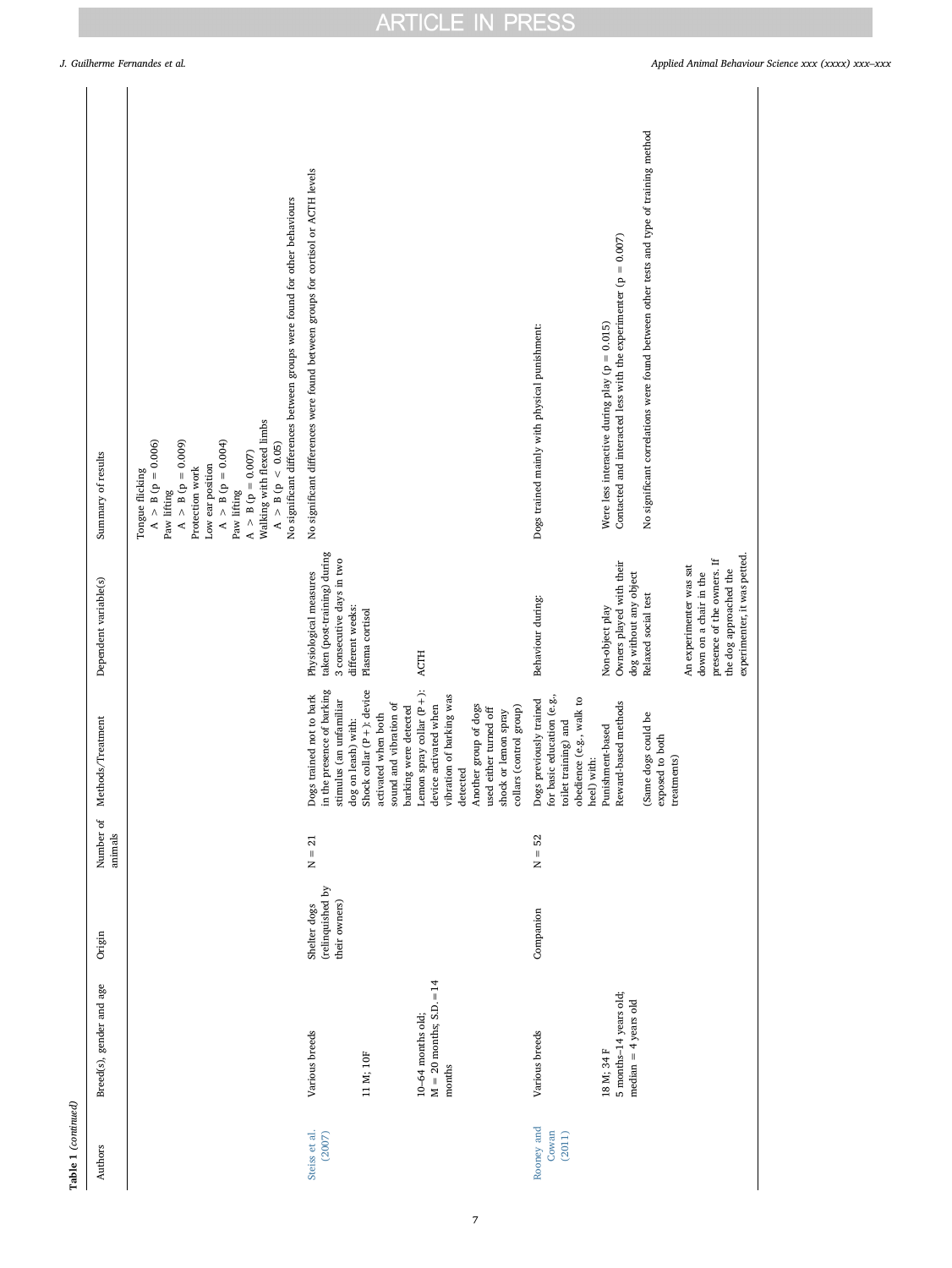| Summary of results       | No significant differences between groups were found for other behaviours<br>Walking with flexed limbs<br>$A > B(p = 0.004)$<br>$A > B(p = 0.006)$<br>$A > B (p = 0.009)$<br>A > B(p < 0.05)<br>$A > B(p = 0.007)$<br>Low ear position<br>Protection work<br>Tongue flicking<br>Paw lifting<br>Paw lifting | No significant differences were found between groups for cortisol or ACTH levels                         |                                                                                                          |                                                                                                                                                                                                      | Dogs trained mainly with physical punishment:                                                                            | Contacted and interacted less with the experimenter ( $p = 0.007$ )<br>Were less interactive during play ( $p = 0.015$ ) | No significant correlations were found between other tests and type of training method |                                                                                                                                          |
|--------------------------|------------------------------------------------------------------------------------------------------------------------------------------------------------------------------------------------------------------------------------------------------------------------------------------------------------|----------------------------------------------------------------------------------------------------------|----------------------------------------------------------------------------------------------------------|------------------------------------------------------------------------------------------------------------------------------------------------------------------------------------------------------|--------------------------------------------------------------------------------------------------------------------------|--------------------------------------------------------------------------------------------------------------------------|----------------------------------------------------------------------------------------|------------------------------------------------------------------------------------------------------------------------------------------|
| Dependent variable(s)    |                                                                                                                                                                                                                                                                                                            | taken (post-training) during<br>3 consecutive days in two<br>Physiological measures<br>different weeks:  | Plasma cortisol                                                                                          | <b>ACTH</b>                                                                                                                                                                                          | Behaviour during:                                                                                                        | Owners played with their<br>dog without any object<br>Non-object play                                                    | Relaxed social test                                                                    | experimenter, it was petted<br>presence of the owners. If<br>An experimenter was sat<br>the dog approached the<br>down on a chair in the |
| Methods/Treatment        |                                                                                                                                                                                                                                                                                                            | in the presence of barking<br>Dogs trained not to bark<br>stimulus (an unfamiliar<br>dog on leash) with: | Shock collar $(P + )$ : device<br>sound and vibration of<br>barking were detected<br>activated when both | Lemon spray collar $(P + )$ :<br>vibration of barking was<br>device activated when<br>Another group of dogs<br>collars (control group)<br>used either turned off<br>shock or lemon spray<br>detected | for basic education (e.g.,<br>obedience (e.g., walk to<br>Dogs previously trained<br>toilet training) and<br>heel) with: | Reward-based methods<br>Punishment-based                                                                                 | (Same dogs could be<br>exposed to both<br>treatments)                                  |                                                                                                                                          |
| Number of<br>animals     |                                                                                                                                                                                                                                                                                                            | $= 21$<br>$\geq$                                                                                         |                                                                                                          |                                                                                                                                                                                                      | 52<br>$\, \parallel$<br>$\overline{z}$                                                                                   |                                                                                                                          |                                                                                        |                                                                                                                                          |
| Origin                   |                                                                                                                                                                                                                                                                                                            | (relinquished by<br>their owners)<br>Shelter dogs                                                        |                                                                                                          |                                                                                                                                                                                                      | Companion                                                                                                                |                                                                                                                          |                                                                                        |                                                                                                                                          |
| Breed(s), gender and age |                                                                                                                                                                                                                                                                                                            | Various breeds                                                                                           | 11 M; 10F                                                                                                | $M = 20$ months; S.D. = 14<br>10-64 months old;<br>months                                                                                                                                            | Various breeds                                                                                                           | 5 months-14 years old;<br>median $=$ 4 years old<br>18M; 34 F                                                            |                                                                                        |                                                                                                                                          |
| Authors                  |                                                                                                                                                                                                                                                                                                            | Steiss et al.<br>(2007)                                                                                  |                                                                                                          |                                                                                                                                                                                                      | Rooney and<br>Cowan<br>(2011)                                                                                            |                                                                                                                          |                                                                                        |                                                                                                                                          |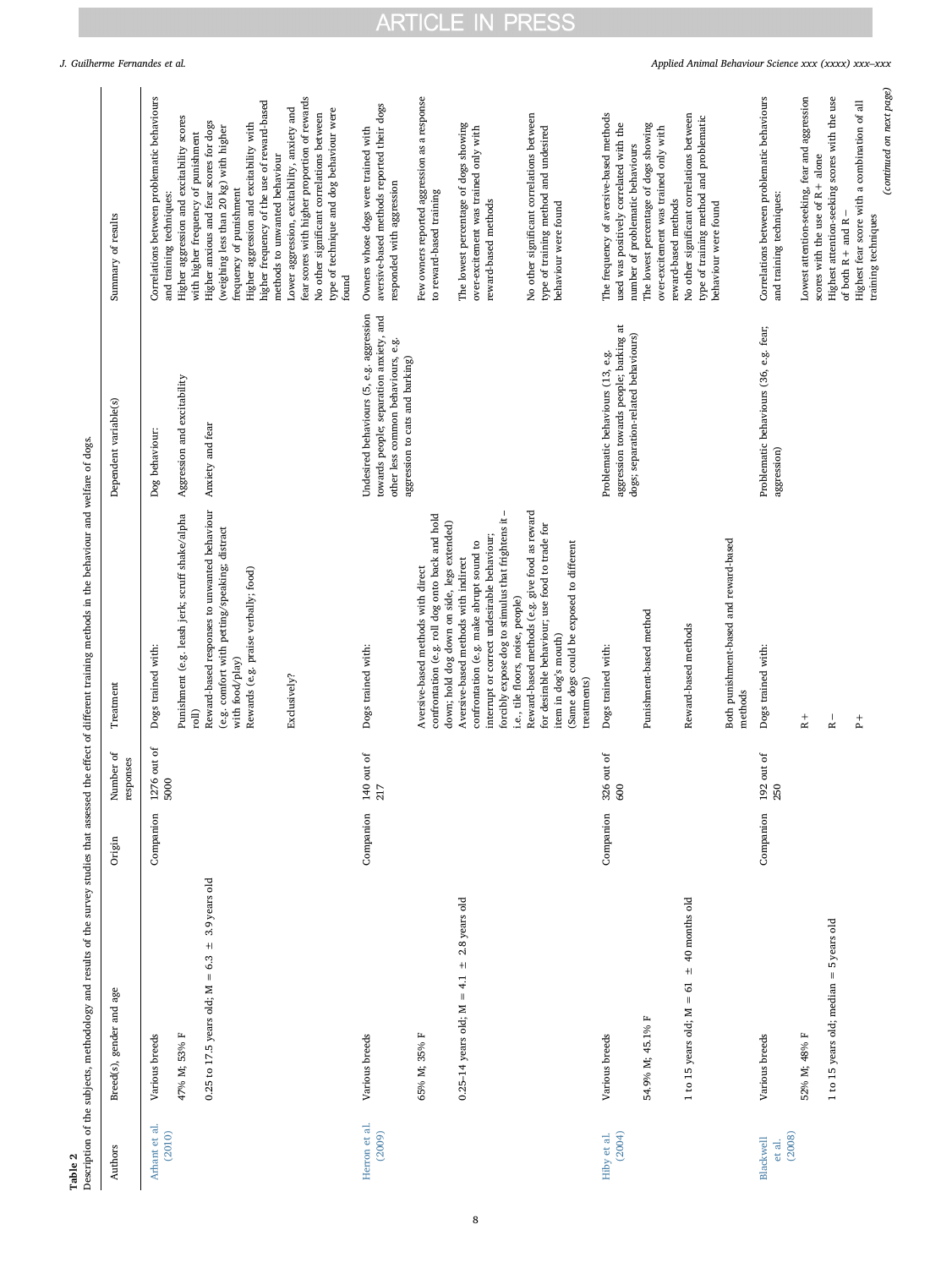Table 2<br>Description of the subjects, methodology and results of the survey studies that assessed the effect of different training methods in the behaviour and welfare of dogs. Description of the subjects, methodology and results of the survey studies that assessed the effect of different training methods in the behaviour and welfare of dogs.

| Authors                       | Breed(s), gender and age                            | Origin    | Number of<br>responses     | Treatment                                                                                                                                                                                                                  | Dependent variable(s)                                                                                                                                        | Summary of results                                                                                                                                                                                                                      |
|-------------------------------|-----------------------------------------------------|-----------|----------------------------|----------------------------------------------------------------------------------------------------------------------------------------------------------------------------------------------------------------------------|--------------------------------------------------------------------------------------------------------------------------------------------------------------|-----------------------------------------------------------------------------------------------------------------------------------------------------------------------------------------------------------------------------------------|
| Arhant et al.<br>(2010)       | Various breeds                                      | Companion | $1276\rm\ out\ of$<br>5000 | Dogs trained with:                                                                                                                                                                                                         | Dog behaviour:                                                                                                                                               | Correlations between problematic behaviours<br>and training techniques:                                                                                                                                                                 |
|                               | 47% M; 53% F                                        |           |                            | Punishment (e.g. leash jerk; scruff shake/alpha<br>roll)                                                                                                                                                                   | Aggression and excitability                                                                                                                                  | Higher aggression and excitability scores<br>with higher frequency of punishment                                                                                                                                                        |
|                               | 0.25 to 17.5 years old; $M = 6.3 \pm 3.9$ years old |           |                            | Reward-based responses to unwanted behaviour<br>(e.g. comfort with petting/speaking; distract<br>Rewards (e.g. praise verbally; food)<br>with food/play)                                                                   | Anxiety and fear                                                                                                                                             | higher frequency of the use of reward-based<br>Higher anxious and fear scores for dogs<br>Higher aggression and excitability with<br>(weighing less than 20 kg) with higher<br>methods to unwanted behaviour<br>frequency of punishment |
|                               |                                                     |           |                            | Exclusively?                                                                                                                                                                                                               |                                                                                                                                                              | fear scores with higher proportion of rewards<br>Lower aggression, excitability, anxiety and<br>type of technique and dog behaviour were<br>No other significant correlations between<br>found                                          |
| Herron et al.<br>(2009)       | Various breeds                                      | Companion | $140$ out of $217\,$       | Dogs trained with:                                                                                                                                                                                                         | Undesired behaviours (5, e.g. aggression<br>towards people; separation anxiety, and<br>other less common behaviours, e.g.<br>aggression to cats and barking) | aversive-based methods reported their dogs<br>Owners whose dogs were trained with<br>responded with aggression                                                                                                                          |
|                               | 65% M; 35% F                                        |           |                            | confrontation (e.g. roll dog onto back and hold<br>down; hold dog down on side, legs extended)<br>Aversive-based methods with direct                                                                                       |                                                                                                                                                              | Few owners reported aggression as a response<br>to reward-based training                                                                                                                                                                |
|                               | 0.25-14 years old; $M = 4.1 \pm 2.8$ years old      |           |                            | forcibly expose dog to stimulus that frightens it-<br>interrupt or correct undesirable behaviour;<br>confrontation (e.g. make abrupt sound to<br>Aversive-based methods with indirect<br>i.e., tile floors, noise, people) |                                                                                                                                                              | The lowest percentage of dogs showing<br>over-excitement was trained only with<br>reward-based methods                                                                                                                                  |
|                               |                                                     |           |                            | Reward-based methods (e.g. give food as reward<br>for desirable behaviour; use food to trade for<br>(Same dogs could be exposed to different<br>item in dog's mouth)<br>treatments)                                        |                                                                                                                                                              | No other significant correlations between<br>type of training method and undesired<br>behaviour were found                                                                                                                              |
| (2004)<br>Hiby et al.         | Various breeds                                      | Companion | 326 out of<br>600          | Dogs trained with:                                                                                                                                                                                                         | aggression towards people; barking at<br>dogs; separation-related behaviours)<br>Problematic behaviours (13, e.g.                                            | The frequency of aversive-based methods<br>used was positively correlated with the<br>number of problematic behaviours                                                                                                                  |
|                               | 54.9% M; 45.1% F                                    |           |                            | Punishment-based method                                                                                                                                                                                                    |                                                                                                                                                              | The lowest percentage of dogs showing<br>over-excitement was trained only with<br>reward-based methods                                                                                                                                  |
|                               | 1 to 15 years old; $M = 61 \pm 40$ months old       |           |                            | Reward-based methods                                                                                                                                                                                                       |                                                                                                                                                              | No other significant correlations between<br>type of training method and problematic<br>behaviour were found                                                                                                                            |
|                               |                                                     |           |                            | Both punishment-based and reward-based<br>methods                                                                                                                                                                          |                                                                                                                                                              |                                                                                                                                                                                                                                         |
| (2008)<br>Blackwell<br>et al. | Various breeds                                      | Companion | $192$ out of<br>250        | Dogs trained with:                                                                                                                                                                                                         | Problematic behaviours (36, e.g. fear;<br>aggression)                                                                                                        | Correlations between problematic behaviours<br>and training techniques:                                                                                                                                                                 |
|                               | 52% M; 48% F                                        |           |                            | $\stackrel{+}{\approx}$                                                                                                                                                                                                    |                                                                                                                                                              | Lowest attention-seeking, fear and aggression<br>scores with the use of R + alone                                                                                                                                                       |
|                               | 1 to 15 years old; median = 5 years old             |           |                            | $R -$                                                                                                                                                                                                                      |                                                                                                                                                              | Highest attention-seeking scores with the use<br>of both $R +$ and $R -$                                                                                                                                                                |
|                               |                                                     |           |                            | $_{\mathsf{P}}^{+}$                                                                                                                                                                                                        |                                                                                                                                                              | (continued on next page)<br>Highest fear score with a combination of all<br>training techniques                                                                                                                                         |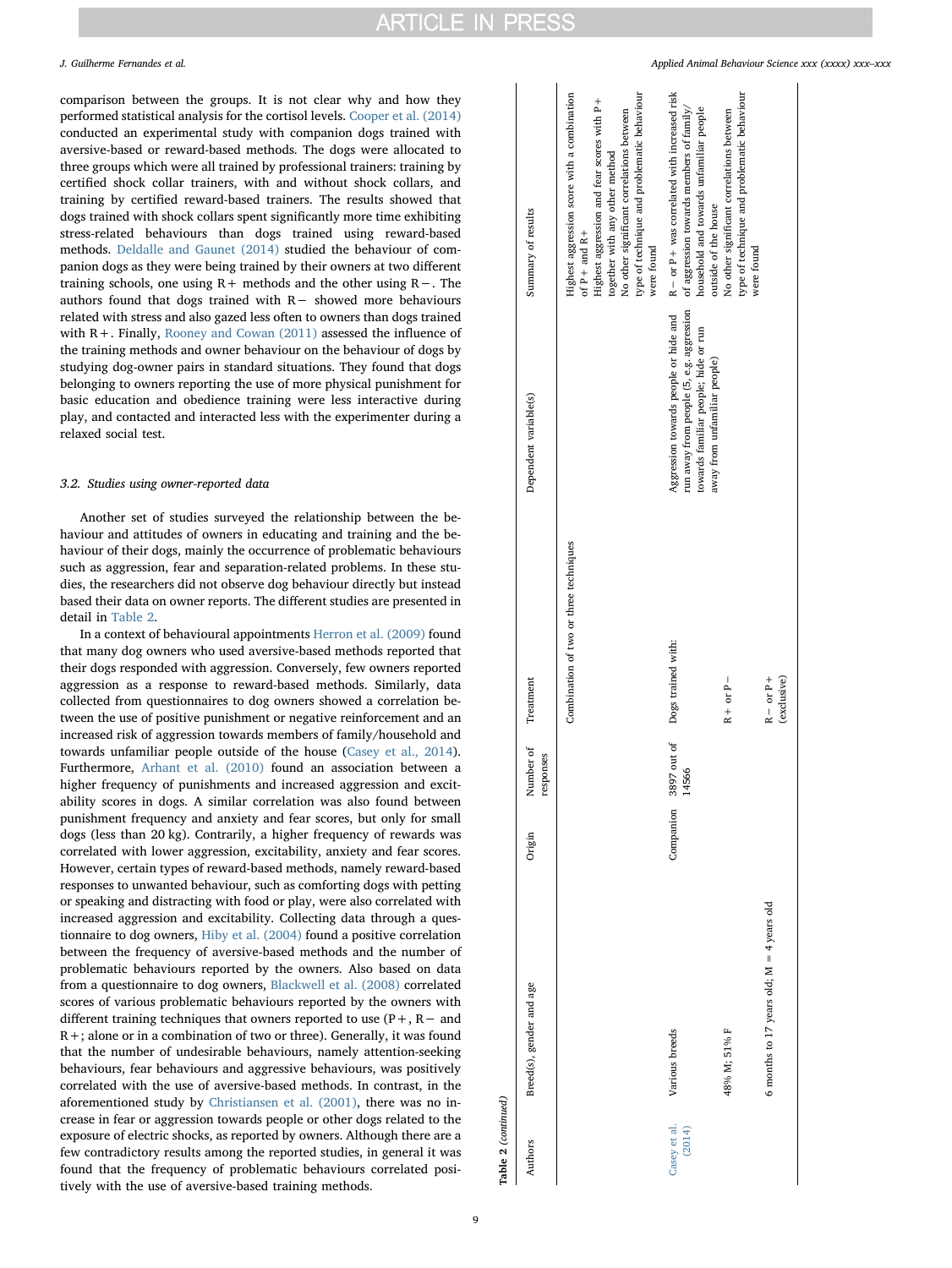comparison between the groups. It is not clear why and how they performed statistical analysis for the cortisol levels. Cooper et al. (2014) conducted an experimental study with companion dogs trained with aversive‐based or reward-based methods. The dogs were allocated to three groups which were all trained by professional trainers: training by certified shock collar trainers, with and without shock collars, and training by certified reward-based trainers. The results showed that dogs trained with shock collars spent significantly more time exhibiting stress-related behaviours than dogs trained using reward-based methods. Deldalle and Gaunet (2014) studied the behaviour of companion dogs as they were being trained by their owners at two different training schools, one using R+ methods and the other using R−. The authors found that dogs trained with R− showed more behaviours related with stress and also gazed less often to owners than dogs trained with R+. Finally, Rooney and Cowan (2011) assessed the influence of the training methods and owner behaviour on the behaviour of dogs by studying dog-owner pairs in standard situations. They found that dogs belonging to owners reporting the use of more physical punishment for basic education and obedience training were less interactive during play, and contacted and interacted less with the experimenter during a relaxed social test.

### 3.2. Studies using owner-reported data

Another set of studies surveyed the relationship between the behaviour and attitudes of owners in educating and training and the behaviour of their dogs, mainly the occurrence of problematic behaviours such as aggression, fear and separation-related problems. In these studies, the researchers did not observe dog behaviour directly but instead based their data on owner reports. The different studies are presented in detail in Table 2.

In a context of behavioural appointments Herron et al. (2009) found that many dog owners who used aversive-based methods reported that their dogs responded with aggression. Conversely, few owners reported aggression as a response to reward-based methods. Similarly, data collected from questionnaires to dog owners showed a correlation between the use of positive punishment or negative reinforcement and an increased risk of aggression towards members of family/household and towards unfamiliar people outside of the house (Casey et al., 2014). Furthermore, Arhant et al. (2010) found an association between a higher frequency of punishments and increased aggression and excitability scores in dogs. A similar correlation was also found between punishment frequency and anxiety and fear scores, but only for small dogs (less than 20 kg). Contrarily, a higher frequency of rewards was correlated with lower aggression, excitability, anxiety and fear scores. However, certain types of reward-based methods, namely reward-based responses to unwanted behaviour, such as comforting dogs with petting or speaking and distracting with food or play, were also correlated with increased aggression and excitability. Collecting data through a questionnaire to dog owners, Hiby et al. (2004) found a positive correlation between the frequency of aversive‐based methods and the number of problematic behaviours reported by the owners. Also based on data from a questionnaire to dog owners, Blackwell et al. (2008) correlated scores of various problematic behaviours reported by the owners with different training techniques that owners reported to use  $(P+, R-$  and R+; alone or in a combination of two or three). Generally, it was found that the number of undesirable behaviours, namely attention-seeking behaviours, fear behaviours and aggressive behaviours, was positively correlated with the use of aversive-based methods. In contrast, in the aforementioned study by Christiansen et al. (2001), there was no increase in fear or aggression towards people or other dogs related to the exposure of electric shocks, as reported by owners. Although there are a few contradictory results among the reported studies, in general it was found that the frequency of problematic behaviours correlated positively with the use of aversive-based training methods.

| able 2 (continued)     |                                             |        |                        |                                                          |                                                                                                                                                           |                                                                                                                                                                                                                                                                          |
|------------------------|---------------------------------------------|--------|------------------------|----------------------------------------------------------|-----------------------------------------------------------------------------------------------------------------------------------------------------------|--------------------------------------------------------------------------------------------------------------------------------------------------------------------------------------------------------------------------------------------------------------------------|
| Authors                | Breed(s), gender and age                    | Origin | Number of<br>responses | Treatment                                                | Dependent variable(s)                                                                                                                                     | Summary of results                                                                                                                                                                                                                                                       |
|                        |                                             |        |                        | Combination of two or three techniques                   |                                                                                                                                                           | type of technique and problematic behaviour<br>Highest aggression score with a combination<br>Highest aggression and fear scores with P+<br>No other significant correlations between<br>together with any other method<br>of $P+$ and $R+$<br>were found                |
| Casey et al.<br>(2014) | 48% M; 51% F<br>Various breeds              |        | 14566                  | Companion 3897 out of Dogs trained with:<br>$R + or P -$ | run away from people (5, e.g. aggression<br>Aggression towards people or hide and<br>towards familiar people; hide or run<br>away from unfamiliar people) | $R - or P + was correlated with increased risk$<br>type of technique and problematic behaviour<br>of aggression towards members of family/<br>household and towards unfamiliar people<br>No other significant correlations between<br>outside of the house<br>were found |
|                        | 6 months to 17 years old; $M = 4$ years old |        |                        | (exclusive)<br>$R - or P +$                              |                                                                                                                                                           |                                                                                                                                                                                                                                                                          |

Table 2 (continued)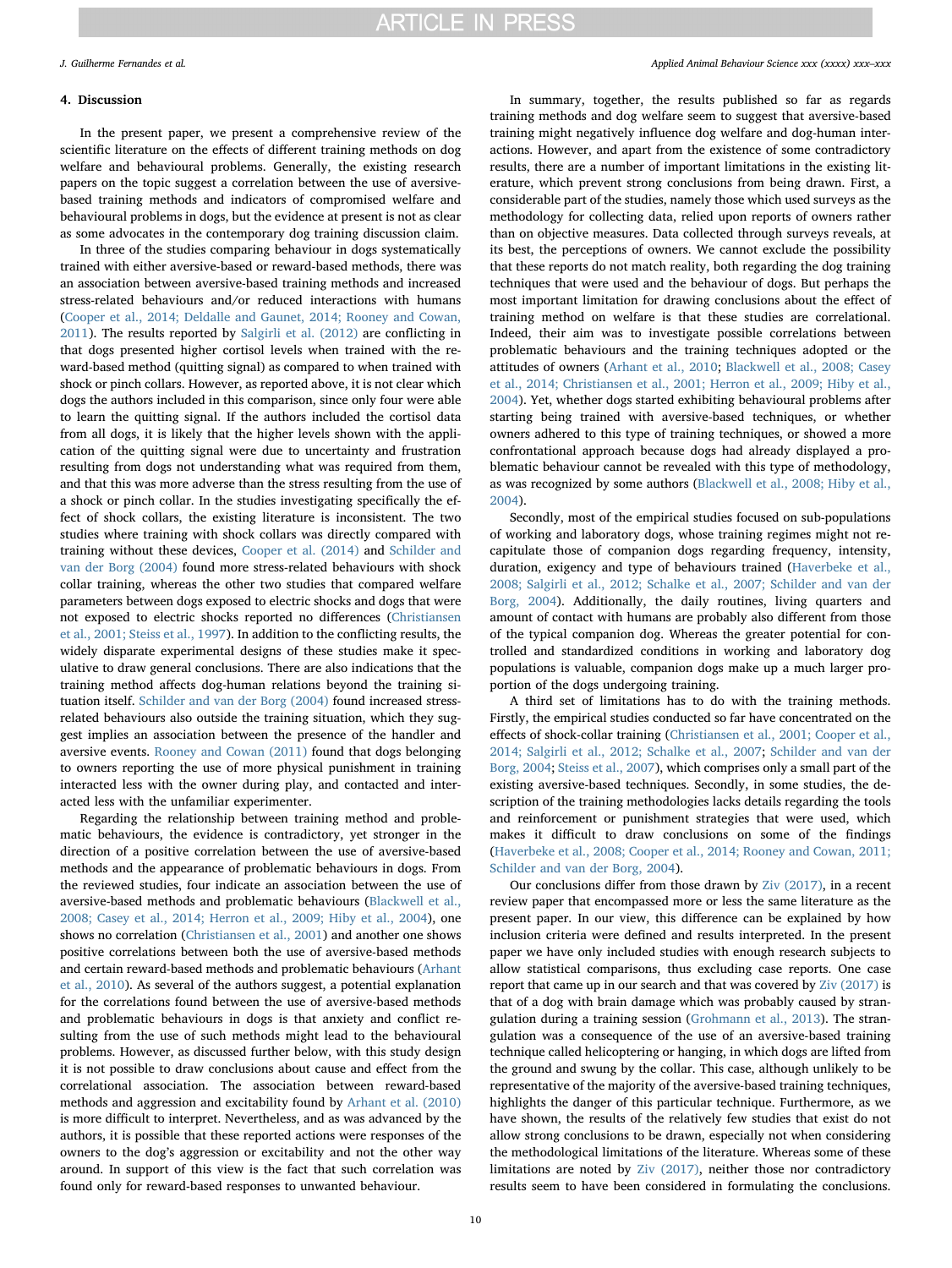#### 4. Discussion

In the present paper, we present a comprehensive review of the scientific literature on the effects of different training methods on dog welfare and behavioural problems. Generally, the existing research papers on the topic suggest a correlation between the use of aversivebased training methods and indicators of compromised welfare and behavioural problems in dogs, but the evidence at present is not as clear as some advocates in the contemporary dog training discussion claim.

In three of the studies comparing behaviour in dogs systematically trained with either aversive-based or reward-based methods, there was an association between aversive-based training methods and increased stress-related behaviours and/or reduced interactions with humans (Cooper et al., 2014; Deldalle and Gaunet, 2014; Rooney and Cowan, 2011). The results reported by Salgirli et al. (2012) are conflicting in that dogs presented higher cortisol levels when trained with the reward‐based method (quitting signal) as compared to when trained with shock or pinch collars. However, as reported above, it is not clear which dogs the authors included in this comparison, since only four were able to learn the quitting signal. If the authors included the cortisol data from all dogs, it is likely that the higher levels shown with the application of the quitting signal were due to uncertainty and frustration resulting from dogs not understanding what was required from them, and that this was more adverse than the stress resulting from the use of a shock or pinch collar. In the studies investigating specifically the effect of shock collars, the existing literature is inconsistent. The two studies where training with shock collars was directly compared with training without these devices, Cooper et al. (2014) and Schilder and van der Borg (2004) found more stress-related behaviours with shock collar training, whereas the other two studies that compared welfare parameters between dogs exposed to electric shocks and dogs that were not exposed to electric shocks reported no differences (Christiansen et al., 2001; Steiss et al., 1997). In addition to the conflicting results, the widely disparate experimental designs of these studies make it speculative to draw general conclusions. There are also indications that the training method affects dog‐human relations beyond the training situation itself. Schilder and van der Borg (2004) found increased stressrelated behaviours also outside the training situation, which they suggest implies an association between the presence of the handler and aversive events. Rooney and Cowan (2011) found that dogs belonging to owners reporting the use of more physical punishment in training interacted less with the owner during play, and contacted and interacted less with the unfamiliar experimenter.

Regarding the relationship between training method and problematic behaviours, the evidence is contradictory, yet stronger in the direction of a positive correlation between the use of aversive-based methods and the appearance of problematic behaviours in dogs. From the reviewed studies, four indicate an association between the use of aversive-based methods and problematic behaviours (Blackwell et al., 2008; Casey et al., 2014; Herron et al., 2009; Hiby et al., 2004), one shows no correlation (Christiansen et al., 2001) and another one shows positive correlations between both the use of aversive-based methods and certain reward-based methods and problematic behaviours (Arhant et al., 2010). As several of the authors suggest, a potential explanation for the correlations found between the use of aversive‐based methods and problematic behaviours in dogs is that anxiety and conflict resulting from the use of such methods might lead to the behavioural problems. However, as discussed further below, with this study design it is not possible to draw conclusions about cause and effect from the correlational association. The association between reward-based methods and aggression and excitability found by Arhant et al. (2010) is more difficult to interpret. Nevertheless, and as was advanced by the authors, it is possible that these reported actions were responses of the owners to the dog's aggression or excitability and not the other way around. In support of this view is the fact that such correlation was found only for reward-based responses to unwanted behaviour.

#### J. Guilherme Fernandes et al. *Applied Animal Behaviour Science xxx (xxxx) xxx–xxx*

In summary, together, the results published so far as regards training methods and dog welfare seem to suggest that aversive‐based training might negatively influence dog welfare and dog-human interactions. However, and apart from the existence of some contradictory results, there are a number of important limitations in the existing literature, which prevent strong conclusions from being drawn. First, a considerable part of the studies, namely those which used surveys as the methodology for collecting data, relied upon reports of owners rather than on objective measures. Data collected through surveys reveals, at its best, the perceptions of owners. We cannot exclude the possibility that these reports do not match reality, both regarding the dog training techniques that were used and the behaviour of dogs. But perhaps the most important limitation for drawing conclusions about the effect of training method on welfare is that these studies are correlational. Indeed, their aim was to investigate possible correlations between problematic behaviours and the training techniques adopted or the attitudes of owners (Arhant et al., 2010; Blackwell et al., 2008; Casey et al., 2014; Christiansen et al., 2001; Herron et al., 2009; Hiby et al., 2004). Yet, whether dogs started exhibiting behavioural problems after starting being trained with aversive‐based techniques, or whether owners adhered to this type of training techniques, or showed a more confrontational approach because dogs had already displayed a problematic behaviour cannot be revealed with this type of methodology, as was recognized by some authors (Blackwell et al., 2008; Hiby et al., 2004).

Secondly, most of the empirical studies focused on sub-populations of working and laboratory dogs, whose training regimes might not recapitulate those of companion dogs regarding frequency, intensity, duration, exigency and type of behaviours trained (Haverbeke et al., 2008; Salgirli et al., 2012; Schalke et al., 2007; Schilder and van der Borg, 2004). Additionally, the daily routines, living quarters and amount of contact with humans are probably also different from those of the typical companion dog. Whereas the greater potential for controlled and standardized conditions in working and laboratory dog populations is valuable, companion dogs make up a much larger proportion of the dogs undergoing training.

A third set of limitations has to do with the training methods. Firstly, the empirical studies conducted so far have concentrated on the effects of shock-collar training (Christiansen et al., 2001; Cooper et al., 2014; Salgirli et al., 2012; Schalke et al., 2007; Schilder and van der Borg, 2004; Steiss et al., 2007), which comprises only a small part of the existing aversive-based techniques. Secondly, in some studies, the description of the training methodologies lacks details regarding the tools and reinforcement or punishment strategies that were used, which makes it difficult to draw conclusions on some of the findings (Haverbeke et al., 2008; Cooper et al., 2014; Rooney and Cowan, 2011; Schilder and van der Borg, 2004).

Our conclusions differ from those drawn by Ziv (2017), in a recent review paper that encompassed more or less the same literature as the present paper. In our view, this difference can be explained by how inclusion criteria were defined and results interpreted. In the present paper we have only included studies with enough research subjects to allow statistical comparisons, thus excluding case reports. One case report that came up in our search and that was covered by Ziv (2017) is that of a dog with brain damage which was probably caused by strangulation during a training session (Grohmann et al., 2013). The strangulation was a consequence of the use of an aversive-based training technique called helicoptering or hanging, in which dogs are lifted from the ground and swung by the collar. This case, although unlikely to be representative of the majority of the aversive-based training techniques, highlights the danger of this particular technique. Furthermore, as we have shown, the results of the relatively few studies that exist do not allow strong conclusions to be drawn, especially not when considering the methodological limitations of the literature. Whereas some of these limitations are noted by Ziv (2017), neither those nor contradictory results seem to have been considered in formulating the conclusions.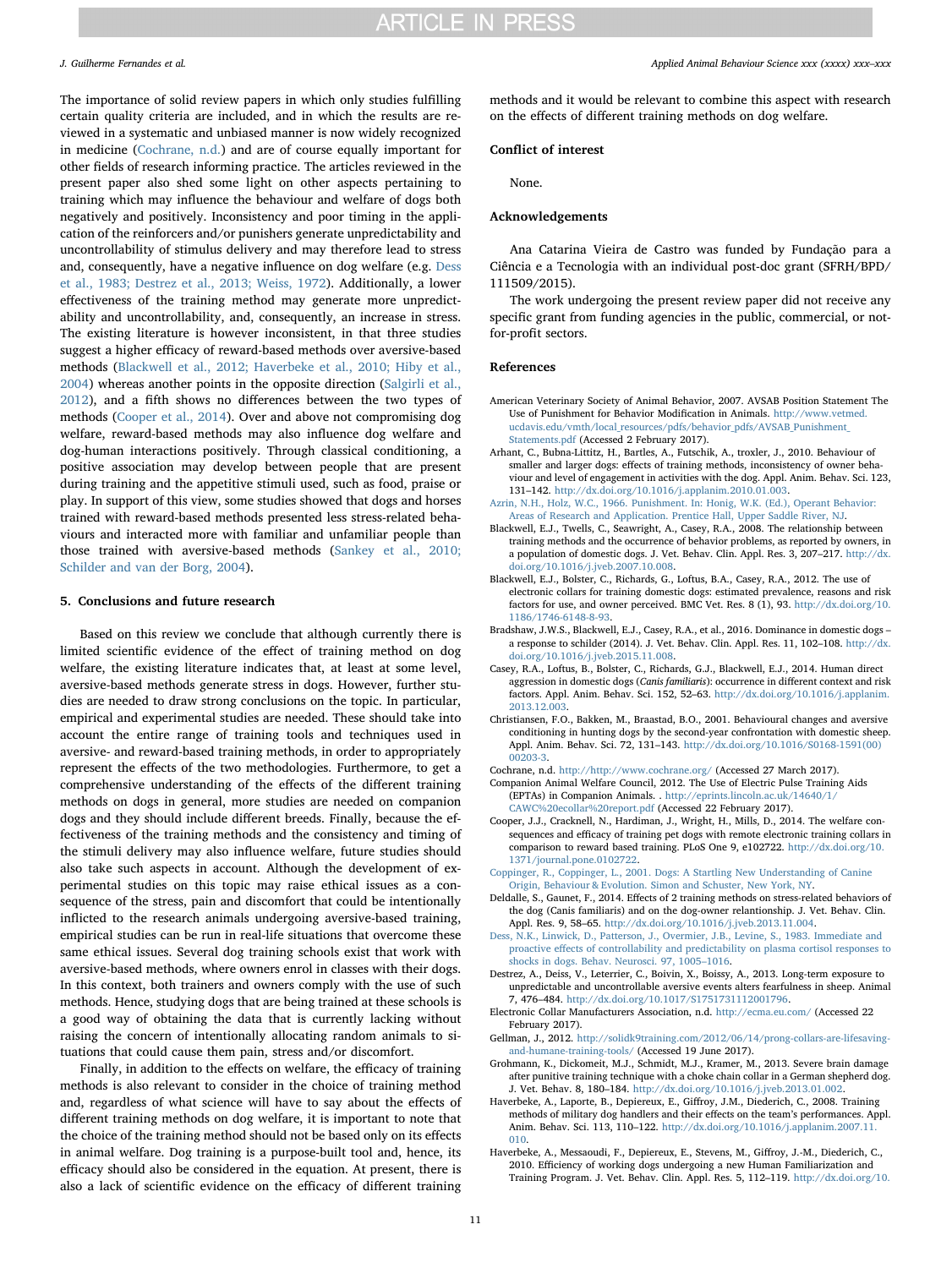The importance of solid review papers in which only studies fulfilling certain quality criteria are included, and in which the results are reviewed in a systematic and unbiased manner is now widely recognized in medicine (Cochrane, n.d.) and are of course equally important for other fields of research informing practice. The articles reviewed in the present paper also shed some light on other aspects pertaining to training which may influence the behaviour and welfare of dogs both negatively and positively. Inconsistency and poor timing in the application of the reinforcers and/or punishers generate unpredictability and uncontrollability of stimulus delivery and may therefore lead to stress and, consequently, have a negative influence on dog welfare (e.g. Dess et al., 1983; Destrez et al., 2013; Weiss, 1972). Additionally, a lower effectiveness of the training method may generate more unpredictability and uncontrollability, and, consequently, an increase in stress. The existing literature is however inconsistent, in that three studies suggest a higher efficacy of reward-based methods over aversive-based methods (Blackwell et al., 2012; Haverbeke et al., 2010; Hiby et al., 2004) whereas another points in the opposite direction (Salgirli et al., 2012), and a fifth shows no differences between the two types of methods (Cooper et al., 2014). Over and above not compromising dog welfare, reward-based methods may also influence dog welfare and dog-human interactions positively. Through classical conditioning, a positive association may develop between people that are present during training and the appetitive stimuli used, such as food, praise or play. In support of this view, some studies showed that dogs and horses trained with reward-based methods presented less stress-related behaviours and interacted more with familiar and unfamiliar people than those trained with aversive‐based methods (Sankey et al., 2010; Schilder and van der Borg, 2004).

### 5. Conclusions and future research

Based on this review we conclude that although currently there is limited scientific evidence of the effect of training method on dog welfare, the existing literature indicates that, at least at some level, aversive-based methods generate stress in dogs. However, further studies are needed to draw strong conclusions on the topic. In particular, empirical and experimental studies are needed. These should take into account the entire range of training tools and techniques used in aversive- and reward-based training methods, in order to appropriately represent the effects of the two methodologies. Furthermore, to get a comprehensive understanding of the effects of the different training methods on dogs in general, more studies are needed on companion dogs and they should include different breeds. Finally, because the effectiveness of the training methods and the consistency and timing of the stimuli delivery may also influence welfare, future studies should also take such aspects in account. Although the development of experimental studies on this topic may raise ethical issues as a consequence of the stress, pain and discomfort that could be intentionally inflicted to the research animals undergoing aversive-based training, empirical studies can be run in real-life situations that overcome these same ethical issues. Several dog training schools exist that work with aversive-based methods, where owners enrol in classes with their dogs. In this context, both trainers and owners comply with the use of such methods. Hence, studying dogs that are being trained at these schools is a good way of obtaining the data that is currently lacking without raising the concern of intentionally allocating random animals to situations that could cause them pain, stress and/or discomfort.

Finally, in addition to the effects on welfare, the efficacy of training methods is also relevant to consider in the choice of training method and, regardless of what science will have to say about the effects of different training methods on dog welfare, it is important to note that the choice of the training method should not be based only on its effects in animal welfare. Dog training is a purpose-built tool and, hence, its efficacy should also be considered in the equation. At present, there is also a lack of scientific evidence on the efficacy of different training methods and it would be relevant to combine this aspect with research on the effects of different training methods on dog welfare.

### Conflict of interest

None.

### Acknowledgements

Ana Catarina Vieira de Castro was funded by Fundação para a Ciência e a Tecnologia with an individual post-doc grant (SFRH/BPD/ 111509/2015).

The work undergoing the present review paper did not receive any specific grant from funding agencies in the public, commercial, or notfor-profit sectors.

### References

- American Veterinary Society of Animal Behavior, 2007. AVSAB Position Statement The Use of Punishment for Behavior Modification in Animals. http://www.vetmed. ucdavis.edu/vmth/local\_resources/pdfs/behavior\_pdfs/AVSAB\_Punishment\_ Statements.pdf (Accessed 2 February 2017).
- Arhant, C., Bubna-Littitz, H., Bartles, A., Futschik, A., troxler, J., 2010. Behaviour of smaller and larger dogs: effects of training methods, inconsistency of owner behaviour and level of engagement in activities with the dog. Appl. Anim. Behav. Sci. 123, 131–142. http://dx.doi.org/10.1016/j.applanim.2010.01.003.
- Azrin, N.H., Holz, W.C., 1966. Punishment. In: Honig, W.K. (Ed.), Operant Behavior: Areas of Research and Application. Prentice Hall, Upper Saddle River, NJ.
- Blackwell, E.J., Twells, C., Seawright, A., Casey, R.A., 2008. The relationship between training methods and the occurrence of behavior problems, as reported by owners, in a population of domestic dogs. J. Vet. Behav. Clin. Appl. Res. 3, 207–217. http://dx. doi.org/10.1016/j.jveb.2007.10.008.
- Blackwell, E.J., Bolster, C., Richards, G., Loftus, B.A., Casey, R.A., 2012. The use of electronic collars for training domestic dogs: estimated prevalence, reasons and risk factors for use, and owner perceived. BMC Vet. Res. 8 (1), 93. http://dx.doi.org/10. 1186/1746-6148-8-93.
- Bradshaw, J.W.S., Blackwell, E.J., Casey, R.A., et al., 2016. Dominance in domestic dogs a response to schilder (2014). J. Vet. Behav. Clin. Appl. Res. 11, 102–108. http://dx. doi.org/10.1016/j.jveb.2015.11.008.
- Casey, R.A., Loftus, B., Bolster, C., Richards, G.J., Blackwell, E.J., 2014. Human direct aggression in domestic dogs (Canis familiaris): occurrence in different context and risk factors. Appl. Anim. Behav. Sci. 152, 52–63. http://dx.doi.org/10.1016/j.applanim. 2013.12.003.
- Christiansen, F.O., Bakken, M., Braastad, B.O., 2001. Behavioural changes and aversive conditioning in hunting dogs by the second-year confrontation with domestic sheep. Appl. Anim. Behav. Sci. 72, 131–143. http://dx.doi.org/10.1016/S0168-1591(00) 00203-3.

Cochrane, n.d. http://http://www.cochrane.org/ (Accessed 27 March 2017).

- Companion Animal Welfare Council, 2012. The Use of Electric Pulse Training Aids (EPTAs) in Companion Animals. . http://eprints.lincoln.ac.uk/14640/1/ CAWC%20ecollar%20report.pdf (Accessed 22 February 2017).
- Cooper, J.J., Cracknell, N., Hardiman, J., Wright, H., Mills, D., 2014. The welfare consequences and efficacy of training pet dogs with remote electronic training collars in comparison to reward based training. PLoS One 9, e102722. http://dx.doi.org/10. 1371/journal.pone.0102722.
- Coppinger, R., Coppinger, L., 2001. Dogs: A Startling New Understanding of Canine Origin, Behaviour & Evolution. Simon and Schuster, New York, NY.
- Deldalle, S., Gaunet, F., 2014. Effects of 2 training methods on stress-related behaviors of the dog (Canis familiaris) and on the dog-owner relantionship. J. Vet. Behav. Clin. Appl. Res. 9, 58–65. http://dx.doi.org/10.1016/j.jveb.2013.11.004.
- Dess, N.K., Linwick, D., Patterson, J., Overmier, J.B., Levine, S., 1983. Immediate and proactive effects of controllability and predictability on plasma cortisol responses to shocks in dogs. Behav. Neurosci. 97, 1005–1016.
- Destrez, A., Deiss, V., Leterrier, C., Boivin, X., Boissy, A., 2013. Long-term exposure to unpredictable and uncontrollable aversive events alters fearfulness in sheep. Animal 7, 476–484. http://dx.doi.org/10.1017/S1751731112001796.
- Electronic Collar Manufacturers Association, n.d. http://ecma.eu.com/ (Accessed 22 February 2017).
- Gellman, J., 2012. http://solidk9training.com/2012/06/14/prong-collars-are-lifesavingand-humane-training-tools/ (Accessed 19 June 2017).
- Grohmann, K., Dickomeit, M.J., Schmidt, M.J., Kramer, M., 2013. Severe brain damage after punitive training technique with a choke chain collar in a German shepherd dog. J. Vet. Behav. 8, 180–184. http://dx.doi.org/10.1016/j.jveb.2013.01.002.
- Haverbeke, A., Laporte, B., Depiereux, E., Giffroy, J.M., Diederich, C., 2008. Training methods of military dog handlers and their effects on the team's performances. Appl. Anim. Behav. Sci. 113, 110–122. http://dx.doi.org/10.1016/j.applanim.2007.11. 010.
- Haverbeke, A., Messaoudi, F., Depiereux, E., Stevens, M., Giffroy, J.-M., Diederich, C., 2010. Efficiency of working dogs undergoing a new Human Familiarization and Training Program. J. Vet. Behav. Clin. Appl. Res. 5, 112–119. http://dx.doi.org/10.